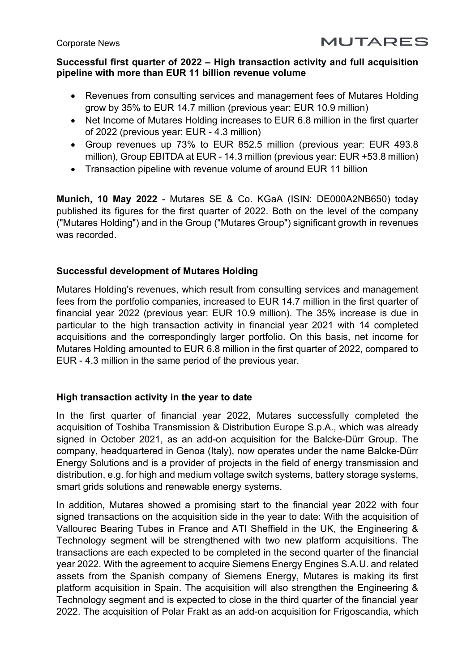## **Successful first quarter of 2022 – High transaction activity and full acquisition pipeline with more than EUR 11 billion revenue volume**

**MUTARES** 

- Revenues from consulting services and management fees of Mutares Holding grow by 35% to EUR 14.7 million (previous year: EUR 10.9 million)
- Net Income of Mutares Holding increases to EUR 6.8 million in the first quarter of 2022 (previous year: EUR - 4.3 million)
- Group revenues up 73% to EUR 852.5 million (previous year: EUR 493.8 million), Group EBITDA at EUR - 14.3 million (previous year: EUR +53.8 million)
- Transaction pipeline with revenue volume of around EUR 11 billion

**Munich, 10 May 2022** - Mutares SE & Co. KGaA (ISIN: DE000A2NB650) today published its figures for the first quarter of 2022. Both on the level of the company ("Mutares Holding") and in the Group ("Mutares Group") significant growth in revenues was recorded.

# **Successful development of Mutares Holding**

Mutares Holding's revenues, which result from consulting services and management fees from the portfolio companies, increased to EUR 14.7 million in the first quarter of financial year 2022 (previous year: EUR 10.9 million). The 35% increase is due in particular to the high transaction activity in financial year 2021 with 14 completed acquisitions and the correspondingly larger portfolio. On this basis, net income for Mutares Holding amounted to EUR 6.8 million in the first quarter of 2022, compared to EUR - 4.3 million in the same period of the previous year.

# **High transaction activity in the year to date**

In the first quarter of financial year 2022, Mutares successfully completed the acquisition of Toshiba Transmission & Distribution Europe S.p.A., which was already signed in October 2021, as an add-on acquisition for the Balcke-Dürr Group. The company, headquartered in Genoa (Italy), now operates under the name Balcke-Dürr Energy Solutions and is a provider of projects in the field of energy transmission and distribution, e.g. for high and medium voltage switch systems, battery storage systems, smart grids solutions and renewable energy systems.

In addition, Mutares showed a promising start to the financial year 2022 with four signed transactions on the acquisition side in the year to date: With the acquisition of Vallourec Bearing Tubes in France and ATI Sheffield in the UK, the Engineering & Technology segment will be strengthened with two new platform acquisitions. The transactions are each expected to be completed in the second quarter of the financial year 2022. With the agreement to acquire Siemens Energy Engines S.A.U. and related assets from the Spanish company of Siemens Energy, Mutares is making its first platform acquisition in Spain. The acquisition will also strengthen the Engineering & Technology segment and is expected to close in the third quarter of the financial year 2022. The acquisition of Polar Frakt as an add-on acquisition for Frigoscandia, which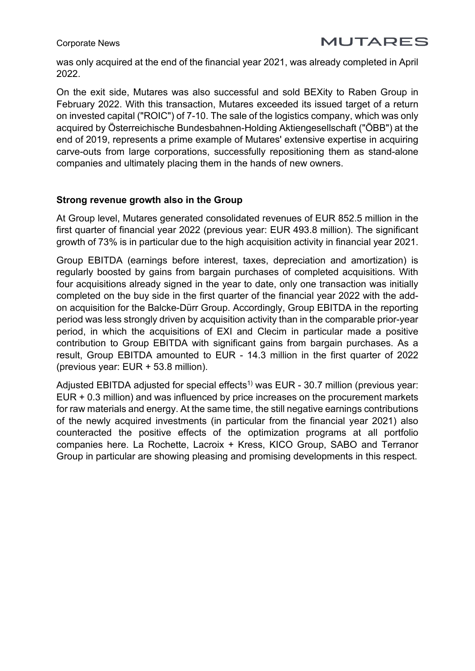was only acquired at the end of the financial year 2021, was already completed in April 2022.

On the exit side, Mutares was also successful and sold BEXity to Raben Group in February 2022. With this transaction, Mutares exceeded its issued target of a return on invested capital ("ROIC") of 7-10. The sale of the logistics company, which was only acquired by Österreichische Bundesbahnen-Holding Aktiengesellschaft ("ÖBB") at the end of 2019, represents a prime example of Mutares' extensive expertise in acquiring carve-outs from large corporations, successfully repositioning them as stand-alone companies and ultimately placing them in the hands of new owners.

## **Strong revenue growth also in the Group**

At Group level, Mutares generated consolidated revenues of EUR 852.5 million in the first quarter of financial year 2022 (previous year: EUR 493.8 million). The significant growth of 73% is in particular due to the high acquisition activity in financial year 2021.

Group EBITDA (earnings before interest, taxes, depreciation and amortization) is regularly boosted by gains from bargain purchases of completed acquisitions. With four acquisitions already signed in the year to date, only one transaction was initially completed on the buy side in the first quarter of the financial year 2022 with the addon acquisition for the Balcke-Dürr Group. Accordingly, Group EBITDA in the reporting period was less strongly driven by acquisition activity than in the comparable prior-year period, in which the acquisitions of EXI and Clecim in particular made a positive contribution to Group EBITDA with significant gains from bargain purchases. As a result, Group EBITDA amounted to EUR - 14.3 million in the first quarter of 2022 (previous year: EUR + 53.8 million).

Adjusted EBITDA adjusted for special effects<sup>1)</sup> was EUR - 30.7 million (previous year: EUR + 0.3 million) and was influenced by price increases on the procurement markets for raw materials and energy. At the same time, the still negative earnings contributions of the newly acquired investments (in particular from the financial year 2021) also counteracted the positive effects of the optimization programs at all portfolio companies here. La Rochette, Lacroix + Kress, KICO Group, SABO and Terranor Group in particular are showing pleasing and promising developments in this respect.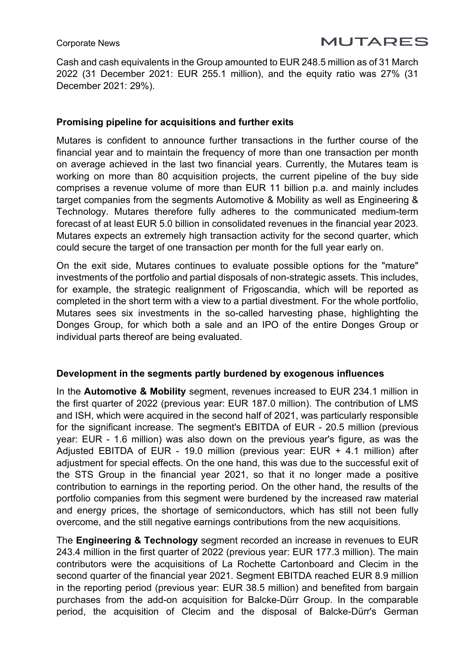Cash and cash equivalents in the Group amounted to EUR 248.5 million as of 31 March 2022 (31 December 2021: EUR 255.1 million), and the equity ratio was 27% (31 December 2021: 29%).

### **Promising pipeline for acquisitions and further exits**

Mutares is confident to announce further transactions in the further course of the financial year and to maintain the frequency of more than one transaction per month on average achieved in the last two financial years. Currently, the Mutares team is working on more than 80 acquisition projects, the current pipeline of the buy side comprises a revenue volume of more than EUR 11 billion p.a. and mainly includes target companies from the segments Automotive & Mobility as well as Engineering & Technology. Mutares therefore fully adheres to the communicated medium-term forecast of at least EUR 5.0 billion in consolidated revenues in the financial year 2023. Mutares expects an extremely high transaction activity for the second quarter, which could secure the target of one transaction per month for the full year early on.

On the exit side, Mutares continues to evaluate possible options for the "mature" investments of the portfolio and partial disposals of non-strategic assets. This includes, for example, the strategic realignment of Frigoscandia, which will be reported as completed in the short term with a view to a partial divestment. For the whole portfolio, Mutares sees six investments in the so-called harvesting phase, highlighting the Donges Group, for which both a sale and an IPO of the entire Donges Group or individual parts thereof are being evaluated.

### **Development in the segments partly burdened by exogenous influences**

In the **Automotive & Mobility** segment, revenues increased to EUR 234.1 million in the first quarter of 2022 (previous year: EUR 187.0 million). The contribution of LMS and ISH, which were acquired in the second half of 2021, was particularly responsible for the significant increase. The segment's EBITDA of EUR - 20.5 million (previous year: EUR - 1.6 million) was also down on the previous year's figure, as was the Adjusted EBITDA of EUR - 19.0 million (previous year: EUR + 4.1 million) after adjustment for special effects. On the one hand, this was due to the successful exit of the STS Group in the financial year 2021, so that it no longer made a positive contribution to earnings in the reporting period. On the other hand, the results of the portfolio companies from this segment were burdened by the increased raw material and energy prices, the shortage of semiconductors, which has still not been fully overcome, and the still negative earnings contributions from the new acquisitions.

The **Engineering & Technology** segment recorded an increase in revenues to EUR 243.4 million in the first quarter of 2022 (previous year: EUR 177.3 million). The main contributors were the acquisitions of La Rochette Cartonboard and Clecim in the second quarter of the financial year 2021. Segment EBITDA reached EUR 8.9 million in the reporting period (previous year: EUR 38.5 million) and benefited from bargain purchases from the add-on acquisition for Balcke-Dürr Group. In the comparable period, the acquisition of Clecim and the disposal of Balcke-Dürr's German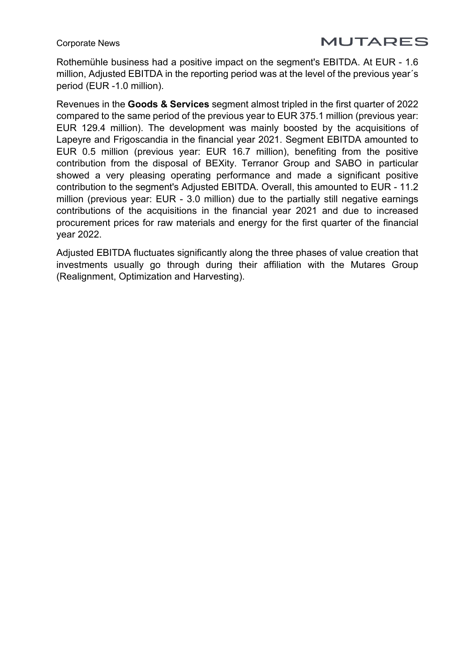# **MUTARES**

Rothemühle business had a positive impact on the segment's EBITDA. At EUR - 1.6 million, Adjusted EBITDA in the reporting period was at the level of the previous year´s period (EUR -1.0 million).

Revenues in the **Goods & Services** segment almost tripled in the first quarter of 2022 compared to the same period of the previous year to EUR 375.1 million (previous year: EUR 129.4 million). The development was mainly boosted by the acquisitions of Lapeyre and Frigoscandia in the financial year 2021. Segment EBITDA amounted to EUR 0.5 million (previous year: EUR 16.7 million), benefiting from the positive contribution from the disposal of BEXity. Terranor Group and SABO in particular showed a very pleasing operating performance and made a significant positive contribution to the segment's Adjusted EBITDA. Overall, this amounted to EUR - 11.2 million (previous year: EUR - 3.0 million) due to the partially still negative earnings contributions of the acquisitions in the financial year 2021 and due to increased procurement prices for raw materials and energy for the first quarter of the financial year 2022.

Adjusted EBITDA fluctuates significantly along the three phases of value creation that investments usually go through during their affiliation with the Mutares Group (Realignment, Optimization and Harvesting).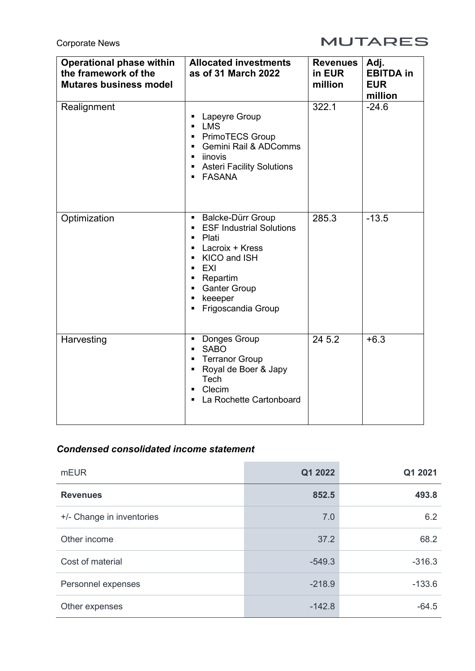# **MUTARES**

| <b>Operational phase within</b><br>the framework of the<br><b>Mutares business model</b> | <b>Allocated investments</b><br>as of 31 March 2022                                                                                                                                                          | <b>Revenues</b><br>in EUR<br>million | Adj.<br><b>EBITDA</b> in<br><b>EUR</b><br>million |
|------------------------------------------------------------------------------------------|--------------------------------------------------------------------------------------------------------------------------------------------------------------------------------------------------------------|--------------------------------------|---------------------------------------------------|
| Realignment                                                                              | Lapeyre Group<br><b>LMS</b><br>$\blacksquare$<br>PrimoTECS Group<br>$\blacksquare$<br>Gemini Rail & ADComms<br>$\blacksquare$<br>• iinovis<br>• Asteri Facility Solutions<br><b>FASANA</b><br>$\blacksquare$ | 322.1                                | $-24.6$                                           |
| Optimization                                                                             | Balcke-Dürr Group<br><b>ESF Industrial Solutions</b><br>Plati<br>Lacroix + Kress<br>KICO and ISH<br>EXI<br>Repartim<br><b>Ganter Group</b><br>keeeper<br>$\blacksquare$<br>Frigoscandia Group<br>٠           | 285.3                                | $-13.5$                                           |
| Harvesting                                                                               | Donges Group<br>$\blacksquare$<br><b>SABO</b><br>$\blacksquare$<br><b>Terranor Group</b><br>Royal de Boer & Japy<br>$\blacksquare$<br>Tech<br>Clecim<br>La Rochette Cartonboard<br>п                         | 24 5.2                               | $+6.3$                                            |

# *Condensed consolidated income statement*

| <b>mEUR</b>               | Q1 2022  | Q1 2021  |
|---------------------------|----------|----------|
| <b>Revenues</b>           | 852.5    | 493.8    |
| +/- Change in inventories | 7.0      | 6.2      |
| Other income              | 37.2     | 68.2     |
| Cost of material          | $-549.3$ | $-316.3$ |
| Personnel expenses        | $-218.9$ | $-133.6$ |
| Other expenses            | $-142.8$ | $-64.5$  |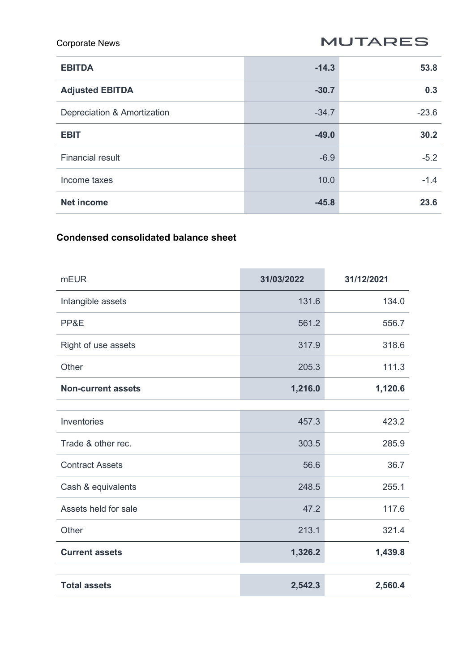**MUTARES** 

| <b>EBITDA</b>               | $-14.3$ | 53.8    |
|-----------------------------|---------|---------|
| <b>Adjusted EBITDA</b>      | $-30.7$ | 0.3     |
| Depreciation & Amortization | $-34.7$ | $-23.6$ |
| <b>EBIT</b>                 | $-49.0$ | 30.2    |
| <b>Financial result</b>     | $-6.9$  | $-5.2$  |
| Income taxes                | 10.0    | $-1.4$  |
| <b>Net income</b>           | $-45.8$ | 23.6    |

# **Condensed consolidated balance sheet**

| <b>mEUR</b>               | 31/03/2022 | 31/12/2021 |  |
|---------------------------|------------|------------|--|
| Intangible assets         | 131.6      | 134.0      |  |
| PP&E                      | 561.2      | 556.7      |  |
| Right of use assets       | 317.9      | 318.6      |  |
| Other                     | 205.3      | 111.3      |  |
| <b>Non-current assets</b> | 1,216.0    | 1,120.6    |  |
|                           |            |            |  |
| Inventories               | 457.3      | 423.2      |  |
| Trade & other rec.        | 303.5      | 285.9      |  |
| <b>Contract Assets</b>    | 56.6       | 36.7       |  |
| Cash & equivalents        | 248.5      | 255.1      |  |
| Assets held for sale      | 47.2       | 117.6      |  |
| Other                     | 213.1      | 321.4      |  |
| <b>Current assets</b>     | 1,326.2    | 1,439.8    |  |
|                           |            |            |  |
| <b>Total assets</b>       | 2,542.3    | 2,560.4    |  |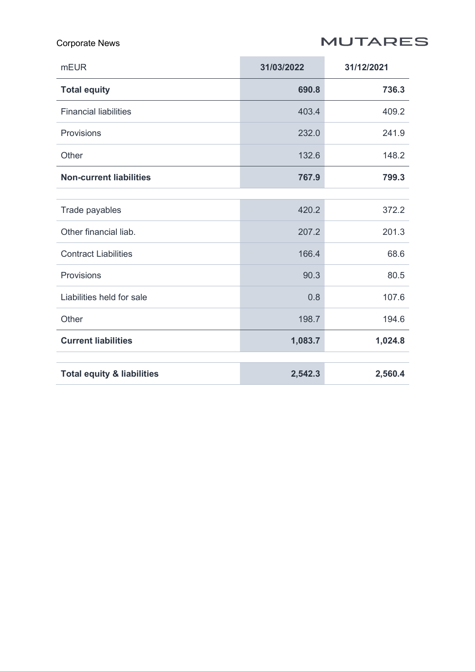# **MUTARES**

## Corporate News

| <b>mEUR</b>                           | 31/03/2022 | 31/12/2021 |
|---------------------------------------|------------|------------|
| <b>Total equity</b>                   | 690.8      | 736.3      |
| <b>Financial liabilities</b>          | 403.4      | 409.2      |
| Provisions                            | 232.0      | 241.9      |
| Other                                 | 132.6      | 148.2      |
| <b>Non-current liabilities</b>        | 767.9      | 799.3      |
|                                       |            |            |
| Trade payables                        | 420.2      | 372.2      |
| Other financial liab.                 | 207.2      | 201.3      |
| <b>Contract Liabilities</b>           | 166.4      | 68.6       |
| Provisions                            | 90.3       | 80.5       |
| Liabilities held for sale             | 0.8        | 107.6      |
| Other                                 | 198.7      | 194.6      |
| <b>Current liabilities</b>            | 1,083.7    | 1,024.8    |
|                                       |            |            |
| <b>Total equity &amp; liabilities</b> | 2,542.3    | 2,560.4    |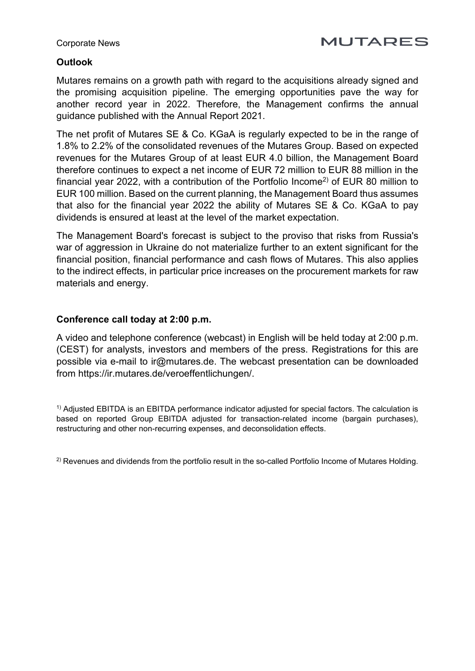# **MUTARES**

# **Outlook**

Mutares remains on a growth path with regard to the acquisitions already signed and the promising acquisition pipeline. The emerging opportunities pave the way for another record year in 2022. Therefore, the Management confirms the annual guidance published with the Annual Report 2021.

The net profit of Mutares SE & Co. KGaA is regularly expected to be in the range of 1.8% to 2.2% of the consolidated revenues of the Mutares Group. Based on expected revenues for the Mutares Group of at least EUR 4.0 billion, the Management Board therefore continues to expect a net income of EUR 72 million to EUR 88 million in the financial year 2022, with a contribution of the Portfolio Income<sup>2</sup> of EUR 80 million to EUR 100 million. Based on the current planning, the Management Board thus assumes that also for the financial year 2022 the ability of Mutares SE & Co. KGaA to pay dividends is ensured at least at the level of the market expectation.

The Management Board's forecast is subject to the proviso that risks from Russia's war of aggression in Ukraine do not materialize further to an extent significant for the financial position, financial performance and cash flows of Mutares. This also applies to the indirect effects, in particular price increases on the procurement markets for raw materials and energy.

## **Conference call today at 2:00 p.m.**

A video and telephone conference (webcast) in English will be held today at 2:00 p.m. (CEST) for analysts, investors and members of the press. Registrations for this are possible via e-mail to [ir@mutares.de.](mailto:ir@mutares.de) The webcast presentation can be downloaded from [https://ir.mutares.de/veroeffentlichungen/.](https://ir.mutares.de/veroeffentlichungen/)

1) Adjusted EBITDA is an EBITDA performance indicator adjusted for special factors. The calculation is based on reported Group EBITDA adjusted for transaction-related income (bargain purchases), restructuring and other non-recurring expenses, and deconsolidation effects.

<sup>2)</sup> Revenues and dividends from the portfolio result in the so-called Portfolio Income of Mutares Holding.